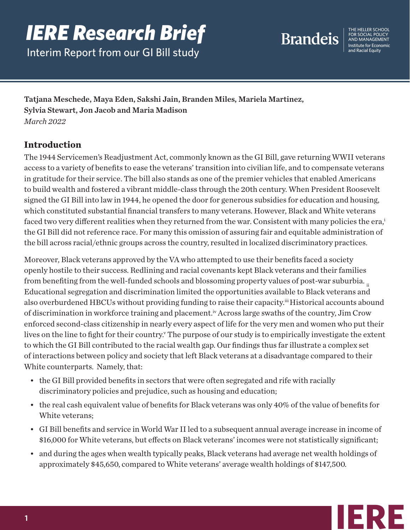# *IERE Research Brief*

Interim Report from our GI Bill study



FOR SOCIAL POLICY Institute for Economic

Tatjana Meschede, Maya Eden, Sakshi Jain, Branden Miles, Mariela Martinez, Sylvia Stewart, Jon Jacob and Maria Madison *March 2022*

# **Introduction**

The 1944 Servicemen's Readjustment Act, commonly known as the GI Bill, gave returning WWII veterans access to a variety of benefits to ease the veterans' transition into civilian life, and to compensate veterans in gratitude for their service. The bill also stands as one of the premier vehicles that enabled Americans to build wealth and fostered a vibrant middle-class through the 20th century. When President Roosevelt signed the GI Bill into law in 1944, he opened the door for generous subsidies for education and housing, which constituted substantial financial transfers to many veterans. However, Black and White veterans faced two very different realities when they returned from the war. Consistent with many policies the era,<sup>i</sup> the GI Bill did not reference race. For many this omission of assuring fair and equitable administration of the bill across racial/ethnic groups across the country, resulted in localized discriminatory practices.

Moreover, Black veterans approved by the VA who attempted to use their benefits faced a society openly hostile to their success. Redlining and racial covenants kept Black veterans and their families from benefiting from the well-funded schools and blossoming property values of post-war suburbia. <sub>ii</sub> Educational segregation and discrimination limited the opportunities available to Black veterans and also overburdened HBCUs without providing funding to raise their capacity.iii Historical accounts abound of discrimination in workforce training and placement.iv Across large swaths of the country, Jim Crow enforced second-class citizenship in nearly every aspect of life for the very men and women who put their lives on the line to fight for their country.<sup>v</sup> The purpose of our study is to empirically investigate the extent to which the GI Bill contributed to the racial wealth gap. Our findings thus far illustrate a complex set of interactions between policy and society that left Black veterans at a disadvantage compared to their White counterparts. Namely, that:

- the GI Bill provided benefits in sectors that were often segregated and rife with racially discriminatory policies and prejudice, such as housing and education;
- the real cash equivalent value of benefits for Black veterans was only 40% of the value of benefits for White veterans;
- GI Bill benefits and service in World War II led to a subsequent annual average increase in income of \$16,000 for White veterans, but effects on Black veterans' incomes were not statistically significant;
- and during the ages when wealth typically peaks, Black veterans had average net wealth holdings of approximately \$45,650, compared to White veterans' average wealth holdings of \$147,500.

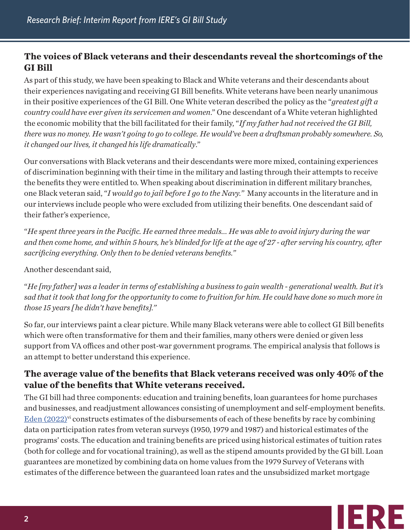# **The voices of Black veterans and their descendants reveal the shortcomings of the GI Bill**

As part of this study, we have been speaking to Black and White veterans and their descendants about their experiences navigating and receiving GI Bill benefits. White veterans have been nearly unanimous in their positive experiences of the GI Bill. One White veteran described the policy as the "*greatest gift a country could have ever given its servicemen and women*." One descendant of a White veteran highlighted the economic mobility that the bill facilitated for their family, "*If my father had not received the GI Bill, there was no money. He wasn't going to go to college. He would've been a draftsman probably somewhere. So, it changed our lives, it changed his life dramatically*."

Our conversations with Black veterans and their descendants were more mixed, containing experiences of discrimination beginning with their time in the military and lasting through their attempts to receive the benefits they were entitled to. When speaking about discrimination in different military branches, one Black veteran said, "*I would go to jail before I go to the Navy."* Many accounts in the literature and in our interviews include people who were excluded from utilizing their benefits. One descendant said of their father's experience,

"*He spent three years in the Pacific. He earned three medals... He was able to avoid injury during the war and then come home, and within 5 hours, he's blinded for life at the age of 27 - after serving his country, after sacrificing everything. Only then to be denied veterans benefits."*

Another descendant said,

"*He [my father] was a leader in terms of establishing a business to gain wealth - generational wealth. But it's sad that it took that long for the opportunity to come to fruition for him. He could have done so much more in those 15 years [ he didn't have benefits]."*

So far, our interviews paint a clear picture. While many Black veterans were able to collect GI Bill benefits which were often transformative for them and their families, many others were denied or given less support from VA offices and other post-war government programs. The empirical analysis that follows is an attempt to better understand this experience.

### **The average value of the benefits that Black veterans received was only 40% of the value of the benefits that White veterans received.**

The GI bill had three components: education and training benefits, loan guarantees for home purchases and businesses, and readjustment allowances consisting of unemployment and self-employment benefits.  $E$ den  $(2022)$ <sup>vi</sup> constructs estimates of the disbursements of each of these benefits by race by combining data on participation rates from veteran surveys (1950, 1979 and 1987) and historical estimates of the programs' costs. The education and training benefits are priced using historical estimates of tuition rates (both for college and for vocational training), as well as the stipend amounts provided by the GI bill. Loan guarantees are monetized by combining data on home values from the 1979 Survey of Veterans with estimates of the difference between the guaranteed loan rates and the unsubsidized market mortgage

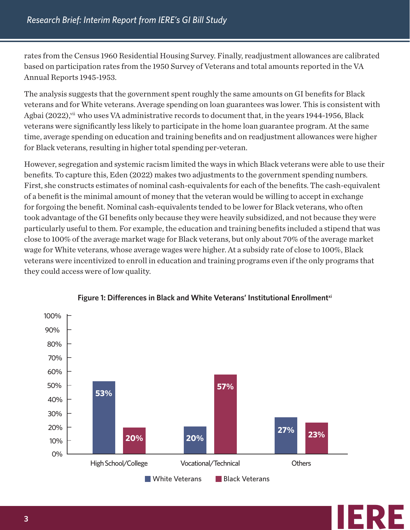rates from the Census 1960 Residential Housing Survey. Finally, readjustment allowances are calibrated based on participation rates from the 1950 Survey of Veterans and total amounts reported in the VA Annual Reports 1945-1953.

The analysis suggests that the government spent roughly the same amounts on GI benefits for Black veterans and for White veterans. Average spending on loan guarantees was lower. This is consistent with Agbai (2022),<sup>vii</sup> who uses VA administrative records to document that, in the years 1944-1956, Black veterans were significantly less likely to participate in the home loan guarantee program. At the same time, average spending on education and training benefits and on readjustment allowances were higher for Black veterans, resulting in higher total spending per-veteran.

However, segregation and systemic racism limited the ways in which Black veterans were able to use their benefits. To capture this, Eden (2022) makes two adjustments to the government spending numbers. First, she constructs estimates of nominal cash-equivalents for each of the benefits. The cash-equivalent of a benefit is the minimal amount of money that the veteran would be willing to accept in exchange for forgoing the benefit. Nominal cash-equivalents tended to be lower for Black veterans, who often took advantage of the GI benefits only because they were heavily subsidized, and not because they were particularly useful to them. For example, the education and training benefits included a stipend that was close to 100% of the average market wage for Black veterans, but only about 70% of the average market wage for White veterans, whose average wages were higher. At a subsidy rate of close to 100%, Black veterans were incentivized to enroll in education and training programs even if the only programs that they could access were of low quality.



**IERE**

#### Figure 1: Differences in Black and White Veterans' Institutional Enrollment<sup>xi</sup>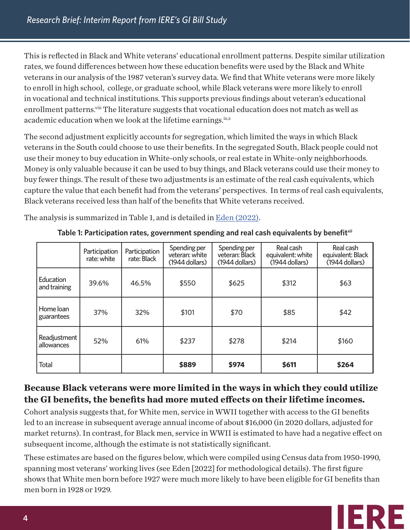This is reflected in Black and White veterans' educational enrollment patterns. Despite similar utilization rates, we found differences between how these education benefits were used by the Black and White veterans in our analysis of the 1987 veteran's survey data. We find that White veterans were more likely to enroll in high school, college, or graduate school, while Black veterans were more likely to enroll in vocational and technical institutions. This supports previous findings about veteran's educational enrollment patterns.<sup>viii</sup> The literature suggests that vocational education does not match as well as academic education when we look at the lifetime earnings.ix,x

The second adjustment explicitly accounts for segregation, which limited the ways in which Black veterans in the South could choose to use their benefits. In the segregated South, Black people could not use their money to buy education in White-only schools, or real estate in White-only neighborhoods. Money is only valuable because it can be used to buy things, and Black veterans could use their money to buy fewer things. The result of these two adjustments is an estimate of the real cash equivalents, which capture the value that each benefit had from the veterans' perspectives. In terms of real cash equivalents, Black veterans received less than half of the benefits that White veterans received.

The analysis is summarized in Table 1, and is detailed in [Eden \(2022\).](https://drive.google.com/file/d/1ZMWGBL-rUJoUAXBDULKIdfXhEl87EKbu/view?usp=sharing)

|                            | Participation<br>rate: white | Participation<br>rate: Black | Spending per<br>veteran: white<br>$(1944$ dollars) | Spending per<br>veteran: Black<br>(1944 dollars) | Real cash<br>equivalent: white<br>(1944 dollars) | Real cash<br>equivalent: Black<br>(1944 dollars) |
|----------------------------|------------------------------|------------------------------|----------------------------------------------------|--------------------------------------------------|--------------------------------------------------|--------------------------------------------------|
| Education<br>and training  | 39.6%                        | 46.5%                        | \$550                                              | \$625                                            | \$312                                            | \$63                                             |
| Home loan<br>guarantees    | 37%                          | 32%                          | \$101                                              | \$70                                             | \$85                                             | \$42                                             |
| Readjustment<br>allowances | 52%                          | 61%                          | \$237                                              | \$278                                            | \$214                                            | \$160                                            |
| <b>Total</b>               |                              |                              | \$889                                              | \$974                                            | \$611                                            | \$264                                            |

Table 1: Participation rates, government spending and real cash equivalents by benefit<sup>xii</sup>

# **Because Black veterans were more limited in the ways in which they could utilize the GI benefits, the benefits had more muted effects on their lifetime incomes.**

Cohort analysis suggests that, for White men, service in WWII together with access to the GI benefits led to an increase in subsequent average annual income of about \$16,000 (in 2020 dollars, adjusted for market returns). In contrast, for Black men, service in WWII is estimated to have had a negative effect on subsequent income, although the estimate is not statistically significant.

These estimates are based on the figures below, which were compiled using Census data from 1950-1990, spanning most veterans' working lives (see Eden [2022] for methodological details). The first figure shows that White men born before 1927 were much more likely to have been eligible for GI benefits than men born in 1928 or 1929.

**IERE**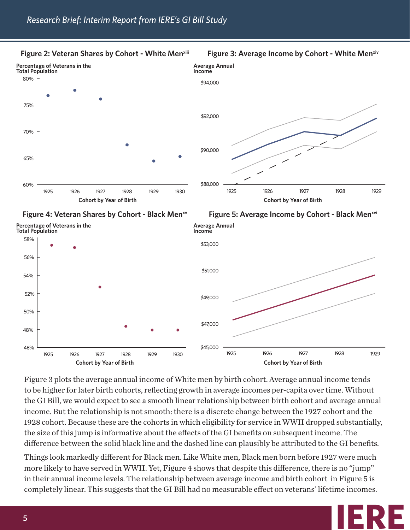

**Figure 2: Veteran Shares by Cohort - White Menxiii** 



**IERE**

Figure 3 plots the average annual income of White men by birth cohort. Average annual income tends to be higher for later birth cohorts, reflecting growth in average incomes per-capita over time. Without the GI Bill, we would expect to see a smooth linear relationship between birth cohort and average annual income. But the relationship is not smooth: there is a discrete change between the 1927 cohort and the 1928 cohort. Because these are the cohorts in which eligibility for service in WWII dropped substantially, the size of this jump is informative about the effects of the GI benefits on subsequent income. The difference between the solid black line and the dashed line can plausibly be attributed to the GI benefits.

Things look markedly different for Black men. Like White men, Black men born before 1927 were much more likely to have served in WWII. Yet, Figure 4 shows that despite this difference, there is no "jump" in their annual income levels. The relationship between average income and birth cohort in Figure 5 is completely linear. This suggests that the GI Bill had no measurable effect on veterans' lifetime incomes.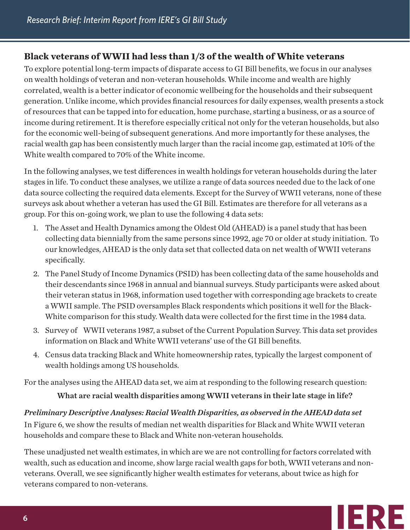## **Black veterans of WWII had less than 1/3 of the wealth of White veterans**

To explore potential long-term impacts of disparate access to GI Bill benefits, we focus in our analyses on wealth holdings of veteran and non-veteran households. While income and wealth are highly correlated, wealth is a better indicator of economic wellbeing for the households and their subsequent generation. Unlike income, which provides financial resources for daily expenses, wealth presents a stock of resources that can be tapped into for education, home purchase, starting a business, or as a source of income during retirement. It is therefore especially critical not only for the veteran households, but also for the economic well-being of subsequent generations. And more importantly for these analyses, the racial wealth gap has been consistently much larger than the racial income gap, estimated at 10% of the White wealth compared to 70% of the White income.

In the following analyses, we test differences in wealth holdings for veteran households during the later stages in life. To conduct these analyses, we utilize a range of data sources needed due to the lack of one data source collecting the required data elements. Except for the Survey of WWII veterans, none of these surveys ask about whether a veteran has used the GI Bill. Estimates are therefore for all veterans as a group. For this on-going work, we plan to use the following 4 data sets:

- 1. The Asset and Health Dynamics among the Oldest Old (AHEAD) is a panel study that has been collecting data biennially from the same persons since 1992, age 70 or older at study initiation. To our knowledges, AHEAD is the only data set that collected data on net wealth of WWII veterans specifically.
- 2. The Panel Study of Income Dynamics (PSID) has been collecting data of the same households and their descendants since 1968 in annual and biannual surveys. Study participants were asked about their veteran status in 1968, information used together with corresponding age brackets to create a WWII sample. The PSID oversamples Black respondents which positions it well for the Black-White comparison for this study. Wealth data were collected for the first time in the 1984 data.
- 3. Survey of WWII veterans 1987, a subset of the Current Population Survey. This data set provides information on Black and White WWII veterans' use of the GI Bill benefits.
- 4. Census data tracking Black and White homeownership rates, typically the largest component of wealth holdings among US households.

For the analyses using the AHEAD data set, we aim at responding to the following research question:

What are racial wealth disparities among WWII veterans in their late stage in life?

*Preliminary Descriptive Analyses: Racial Wealth Disparities, as observed in the AHEAD data set* In Figure 6, we show the results of median net wealth disparities for Black and White WWII veteran households and compare these to Black and White non-veteran households.

These unadjusted net wealth estimates, in which are we are not controlling for factors correlated with wealth, such as education and income, show large racial wealth gaps for both, WWII veterans and nonveterans. Overall, we see significantly higher wealth estimates for veterans, about twice as high for veterans compared to non-veterans.

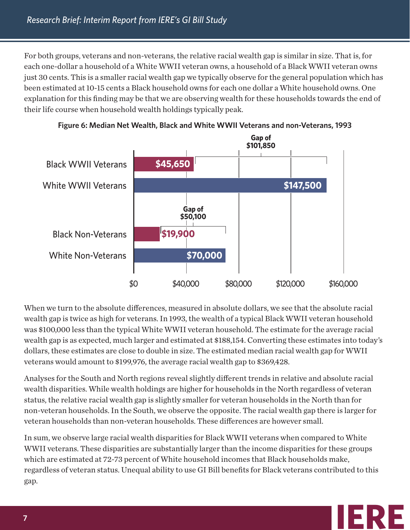For both groups, veterans and non-veterans, the relative racial wealth gap is similar in size. That is, for each one-dollar a household of a White WWII veteran owns, a household of a Black WWII veteran owns just 30 cents. This is a smaller racial wealth gap we typically observe for the general population which has been estimated at 10-15 cents a Black household owns for each one dollar a White household owns. One explanation for this finding may be that we are observing wealth for these households towards the end of their life course when household wealth holdings typically peak.





When we turn to the absolute differences, measured in absolute dollars, we see that the absolute racial wealth gap is twice as high for veterans. In 1993, the wealth of a typical Black WWII veteran household was \$100,000 less than the typical White WWII veteran household. The estimate for the average racial wealth gap is as expected, much larger and estimated at \$188,154. Converting these estimates into today's dollars, these estimates are close to double in size. The estimated median racial wealth gap for WWII veterans would amount to \$199,976, the average racial wealth gap to \$369,428.

Analyses for the South and North regions reveal slightly different trends in relative and absolute racial wealth disparities. While wealth holdings are higher for households in the North regardless of veteran status, the relative racial wealth gap is slightly smaller for veteran households in the North than for non-veteran households. In the South, we observe the opposite. The racial wealth gap there is larger for veteran households than non-veteran households. These differences are however small.

In sum, we observe large racial wealth disparities for Black WWII veterans when compared to White WWII veterans. These disparities are substantially larger than the income disparities for these groups which are estimated at 72-73 percent of White household incomes that Black households make, regardless of veteran status. Unequal ability to use GI Bill benefits for Black veterans contributed to this gap.